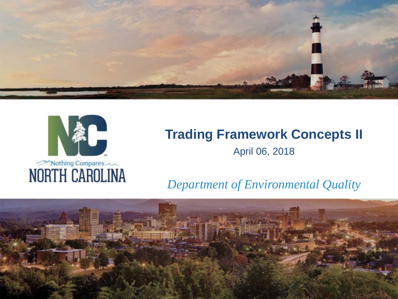



# **Trading Framework Concepts II** April 06, 2018

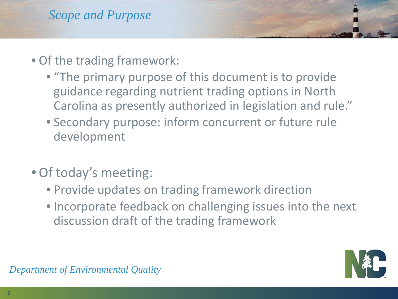- Of the trading framework:
	- "The primary purpose of this document is to provide guidance regarding nutrient trading options in North Carolina as presently authorized in legislation and rule."
	- Secondary purpose: inform concurrent or future rule development
- Of today's meeting:
	- Provide updates on trading framework direction
	- Incorporate feedback on challenging issues into the next discussion draft of the trading framework

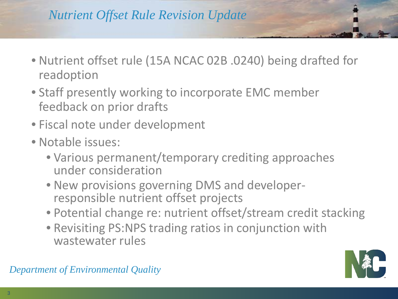# *Nutrient Offset Rule Revision Update*

- Nutrient offset rule (15A NCAC 02B .0240) being drafted for readoption
- Staff presently working to incorporate EMC member feedback on prior drafts
- Fiscal note under development
- Notable issues:
	- Various permanent/temporary crediting approaches under consideration
	- New provisions governing DMS and developer- responsible nutrient offset projects
	- Potential change re: nutrient offset/stream credit stacking
	- Revisiting PS:NPS trading ratios in conjunction with wastewater rules

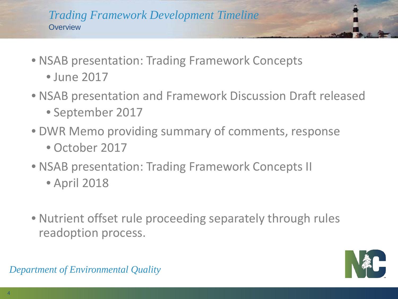#### *Trading Framework Development Timeline* **Overview**

- NSAB presentation: Trading Framework Concepts • June 2017
- NSAB presentation and Framework Discussion Draft released • September 2017
- DWR Memo providing summary of comments, response • October 2017
- NSAB presentation: Trading Framework Concepts II
	- April 2018
- Nutrient offset rule proceeding separately through rules readoption process.

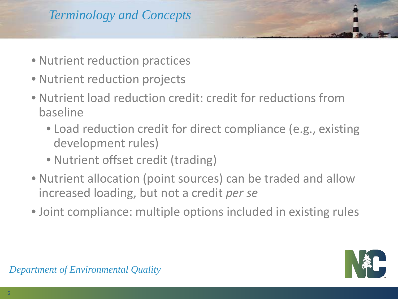- Nutrient reduction practices
- Nutrient reduction projects
- Nutrient load reduction credit: credit for reductions from baseline
	- Load reduction credit for direct compliance (e.g., existing development rules)
	- Nutrient offset credit (trading)
- Nutrient allocation (point sources) can be traded and allow increased loading, but not a credit *per se*
- Joint compliance: multiple options included in existing rules

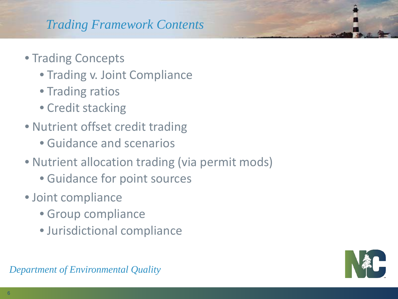# *Trading Framework Contents*

- Trading Concepts
	- Trading v. Joint Compliance
	- Trading ratios
	- Credit stacking
- Nutrient offset credit trading
	- Guidance and scenarios
- Nutrient allocation trading (via permit mods)
	- Guidance for point sources
- Joint compliance
	- Group compliance
	- Jurisdictional compliance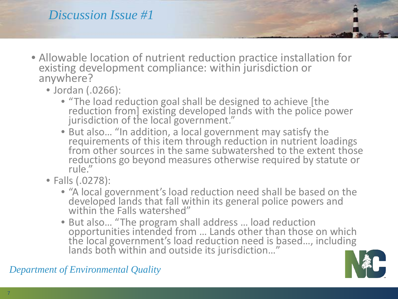# *Discussion Issue #1*

- Allowable location of nutrient reduction practice installation for existing development compliance: within jurisdiction or anywhere?
	- Jordan (.0266):
		- "The load reduction goal shall be designed to achieve [the reduction from] existing developed lands with the police power jurisdiction of the local government."
		- But also… "In addition, a local government may satisfy the requirements of this item through reduction in nutrient loadings from other sources in the same subwatershed to the extent those reductions go beyond measures otherwise required by statute or  $rule''$
	- Falls (.0278):
		- "A local government's load reduction need shall be based on the developed lands that fall within its general police powers and within the Falls watershed"
		- But also… "The program shall address … load reduction opportunities intended from … Lands other than those on which the local government's load reduction need is based..., including lands both within and outside its jurisdiction…"

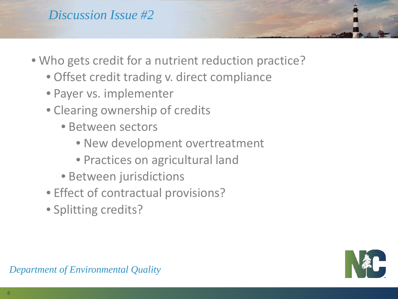- Who gets credit for a nutrient reduction practice?
	- Offset credit trading v. direct compliance
	- Payer vs. implementer
	- Clearing ownership of credits
		- Between sectors
			- New development overtreatment
			- Practices on agricultural land
		- Between jurisdictions
	- Effect of contractual provisions?
	- Splitting credits?

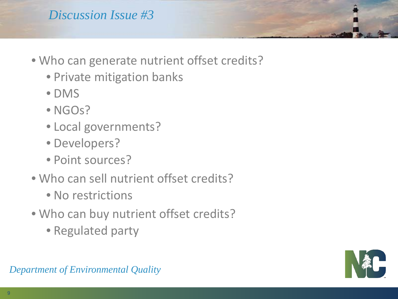# *Discussion Issue #3*

- Who can generate nutrient offset credits?
	- Private mitigation banks
	- DMS
	- NGOs?
	- Local governments?
	- Developers?
	- Point sources?
- Who can sell nutrient offset credits?
	- No restrictions
- Who can buy nutrient offset credits?
	- Regulated party

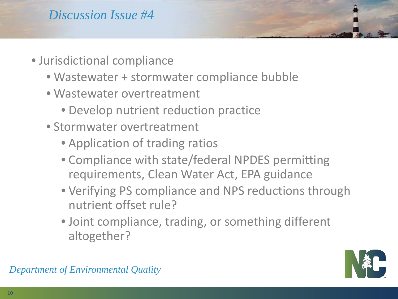- Jurisdictional compliance
	- Wastewater + stormwater compliance bubble
	- Wastewater overtreatment
		- Develop nutrient reduction practice
	- Stormwater overtreatment
		- Application of trading ratios
		- Compliance with state/federal NPDES permitting requirements, Clean Water Act, EPA guidance
		- Verifying PS compliance and NPS reductions through nutrient offset rule?
		- Joint compliance, trading, or something different altogether?

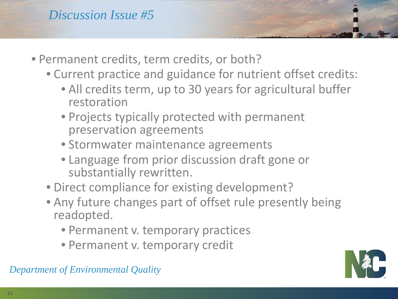- Permanent credits, term credits, or both?
	- Current practice and guidance for nutrient offset credits:
		- All credits term, up to 30 years for agricultural buffer restoration
		- Projects typically protected with permanent preservation agreements
		- Stormwater maintenance agreements
		- Language from prior discussion draft gone or substantially rewritten.
	- Direct compliance for existing development?
	- Any future changes part of offset rule presently being readopted.
		- Permanent v. temporary practices
		- Permanent v. temporary credit

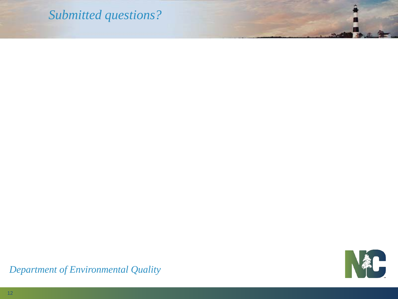### *Submitted questions?*

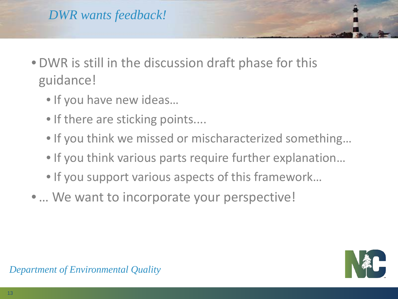- DWR is still in the discussion draft phase for this guidance!
	- If you have new ideas…
	- If there are sticking points....
	- If you think we missed or mischaracterized something…
	- If you think various parts require further explanation…
	- If you support various aspects of this framework…
- ... We want to incorporate your perspective!